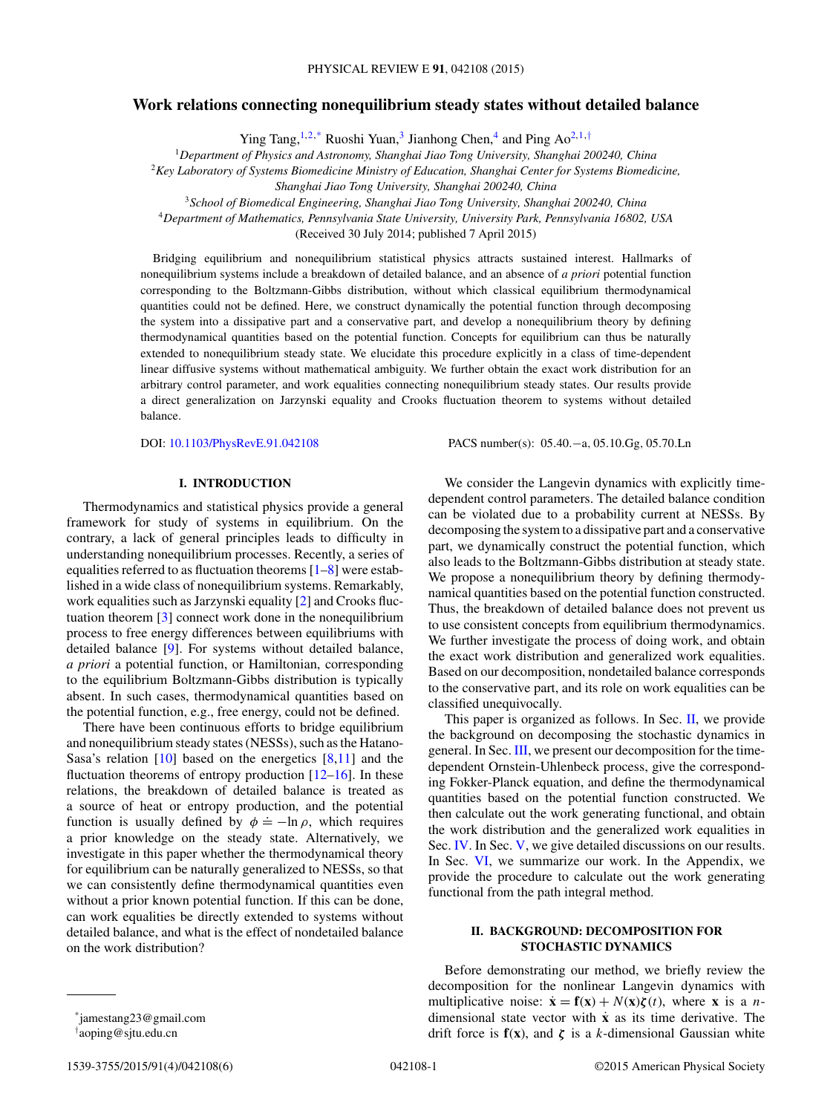# **Work relations connecting nonequilibrium steady states without detailed balance**

Ying Tang,  $1,2,^*$  Ruoshi Yuan,<sup>3</sup> Jianhong Chen,<sup>4</sup> and Ping Ao<sup>2,1,†</sup>

<sup>1</sup>*Department of Physics and Astronomy, Shanghai Jiao Tong University, Shanghai 200240, China*

<sup>2</sup>*Key Laboratory of Systems Biomedicine Ministry of Education, Shanghai Center for Systems Biomedicine,*

*Shanghai Jiao Tong University, Shanghai 200240, China*

<sup>3</sup>*School of Biomedical Engineering, Shanghai Jiao Tong University, Shanghai 200240, China*

<sup>4</sup>*Department of Mathematics, Pennsylvania State University, University Park, Pennsylvania 16802, USA*

(Received 30 July 2014; published 7 April 2015)

Bridging equilibrium and nonequilibrium statistical physics attracts sustained interest. Hallmarks of nonequilibrium systems include a breakdown of detailed balance, and an absence of *a priori* potential function corresponding to the Boltzmann-Gibbs distribution, without which classical equilibrium thermodynamical quantities could not be defined. Here, we construct dynamically the potential function through decomposing the system into a dissipative part and a conservative part, and develop a nonequilibrium theory by defining thermodynamical quantities based on the potential function. Concepts for equilibrium can thus be naturally extended to nonequilibrium steady state. We elucidate this procedure explicitly in a class of time-dependent linear diffusive systems without mathematical ambiguity. We further obtain the exact work distribution for an arbitrary control parameter, and work equalities connecting nonequilibrium steady states. Our results provide a direct generalization on Jarzynski equality and Crooks fluctuation theorem to systems without detailed balance.

DOI: [10.1103/PhysRevE.91.042108](http://dx.doi.org/10.1103/PhysRevE.91.042108) PACS number(s): 05*.*40*.*−a*,* 05*.*10*.*Gg*,* 05*.*70*.*Ln

## **I. INTRODUCTION**

Thermodynamics and statistical physics provide a general framework for study of systems in equilibrium. On the contrary, a lack of general principles leads to difficulty in understanding nonequilibrium processes. Recently, a series of equalities referred to as fluctuation theorems [\[1–8\]](#page-5-0) were established in a wide class of nonequilibrium systems. Remarkably, work equalities such as Jarzynski equality [\[2\]](#page-5-0) and Crooks fluctuation theorem [\[3\]](#page-5-0) connect work done in the nonequilibrium process to free energy differences between equilibriums with detailed balance [\[9\]](#page-5-0). For systems without detailed balance, *a priori* a potential function, or Hamiltonian, corresponding to the equilibrium Boltzmann-Gibbs distribution is typically absent. In such cases, thermodynamical quantities based on the potential function, e.g., free energy, could not be defined.

There have been continuous efforts to bridge equilibrium and nonequilibrium steady states (NESSs), such as the Hatano-Sasa's relation  $[10]$  based on the energetics  $[8,11]$  and the fluctuation theorems of entropy production [\[12–16\]](#page-5-0). In these relations, the breakdown of detailed balance is treated as a source of heat or entropy production, and the potential function is usually defined by  $\phi = -\ln \rho$ , which requires a prior knowledge on the steady state. Alternatively, we investigate in this paper whether the thermodynamical theory for equilibrium can be naturally generalized to NESSs, so that we can consistently define thermodynamical quantities even without a prior known potential function. If this can be done, can work equalities be directly extended to systems without detailed balance, and what is the effect of nondetailed balance on the work distribution?

We consider the Langevin dynamics with explicitly timedependent control parameters. The detailed balance condition can be violated due to a probability current at NESSs. By decomposing the system to a dissipative part and a conservative part, we dynamically construct the potential function, which also leads to the Boltzmann-Gibbs distribution at steady state. We propose a nonequilibrium theory by defining thermodynamical quantities based on the potential function constructed. Thus, the breakdown of detailed balance does not prevent us to use consistent concepts from equilibrium thermodynamics. We further investigate the process of doing work, and obtain the exact work distribution and generalized work equalities. Based on our decomposition, nondetailed balance corresponds to the conservative part, and its role on work equalities can be classified unequivocally.

This paper is organized as follows. In Sec. II, we provide the background on decomposing the stochastic dynamics in general. In Sec. [III,](#page-1-0) we present our decomposition for the timedependent Ornstein-Uhlenbeck process, give the corresponding Fokker-Planck equation, and define the thermodynamical quantities based on the potential function constructed. We then calculate out the work generating functional, and obtain the work distribution and the generalized work equalities in Sec. [IV.](#page-2-0) In Sec. [V,](#page-3-0) we give detailed discussions on our results. In Sec. [VI,](#page-3-0) we summarize our work. In the Appendix, we provide the procedure to calculate out the work generating functional from the path integral method.

## **II. BACKGROUND: DECOMPOSITION FOR STOCHASTIC DYNAMICS**

Before demonstrating our method, we briefly review the decomposition for the nonlinear Langevin dynamics with multiplicative noise:  $\dot{\mathbf{x}} = \mathbf{f}(\mathbf{x}) + N(\mathbf{x})\zeta(t)$ , where **x** is a *n*dimensional state vector with **x**˙ as its time derivative. The drift force is  $f(x)$ , and  $\zeta$  is a *k*-dimensional Gaussian white

<sup>\*</sup>jamestang23@gmail.com

<sup>†</sup> aoping@sjtu.edu.cn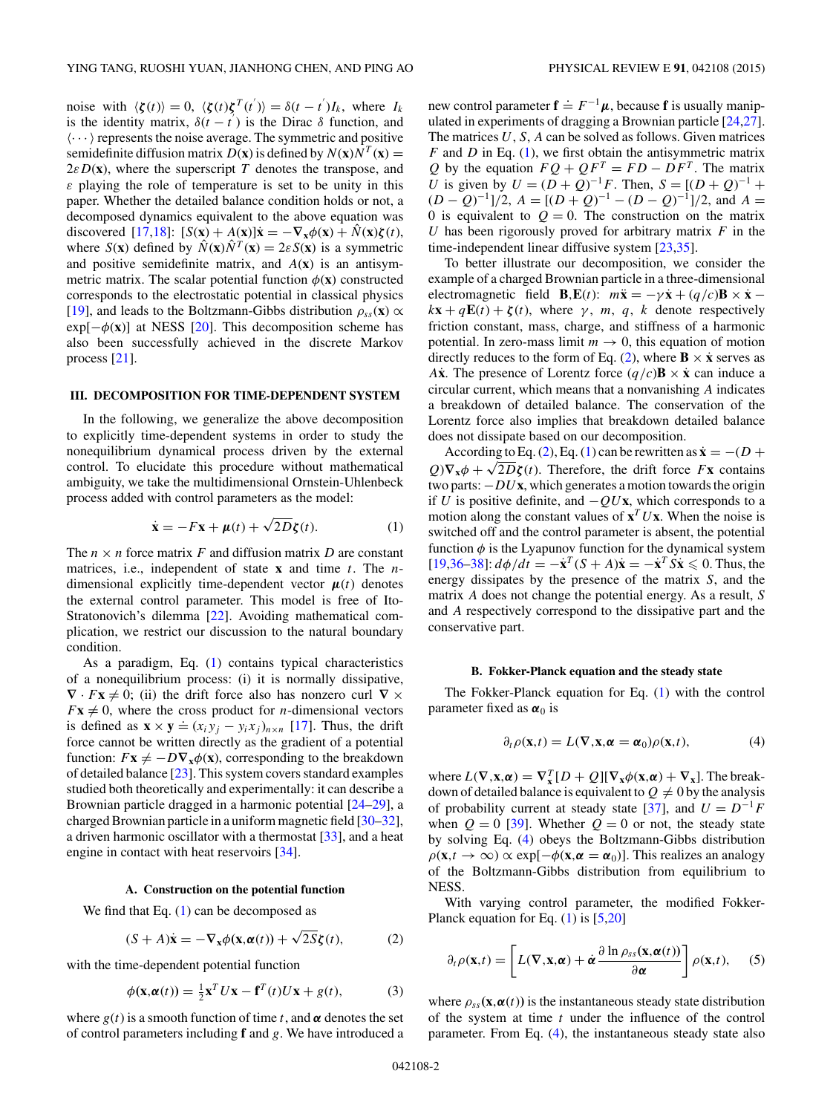<span id="page-1-0"></span>noise with  $\langle \zeta(t) \rangle = 0$ ,  $\langle \zeta(t) \zeta^{T}(t') \rangle = \delta(t - t')I_k$ , where  $I_k$ is the identity matrix,  $\delta(t - t')$  is the Dirac  $\delta$  function, and  $\langle \cdots \rangle$  represents the noise average. The symmetric and positive semidefinite diffusion matrix  $D(\mathbf{x})$  is defined by  $N(\mathbf{x})N^T(\mathbf{x}) =$  $2\varepsilon D(\mathbf{x})$ , where the superscript *T* denotes the transpose, and *ε* playing the role of temperature is set to be unity in this paper. Whether the detailed balance condition holds or not, a decomposed dynamics equivalent to the above equation was discovered [\[17,18\]](#page-5-0):  $[S(x) + A(x)]\dot{x} = -\nabla_x \phi(x) + \hat{N}(x)\zeta(t),$ where  $S(\mathbf{x})$  defined by  $\hat{N}(\mathbf{x})\hat{N}^T(\mathbf{x}) = 2\varepsilon S(\mathbf{x})$  is a symmetric and positive semidefinite matrix, and  $A(x)$  is an antisymmetric matrix. The scalar potential function  $\phi(\mathbf{x})$  constructed corresponds to the electrostatic potential in classical physics [\[19\]](#page-5-0), and leads to the Boltzmann-Gibbs distribution  $\rho_{ss}(\mathbf{x}) \propto$  $exp[-\phi(\mathbf{x})]$  at NESS [\[20\]](#page-5-0). This decomposition scheme has also been successfully achieved in the discrete Markov process [\[21\]](#page-5-0).

## **III. DECOMPOSITION FOR TIME-DEPENDENT SYSTEM**

In the following, we generalize the above decomposition to explicitly time-dependent systems in order to study the nonequilibrium dynamical process driven by the external control. To elucidate this procedure without mathematical ambiguity, we take the multidimensional Ornstein-Uhlenbeck process added with control parameters as the model:

$$
\dot{\mathbf{x}} = -F\mathbf{x} + \mu(t) + \sqrt{2D}\zeta(t). \tag{1}
$$

The  $n \times n$  force matrix F and diffusion matrix D are constant matrices, i.e., independent of state **x** and time *t*. The *n*dimensional explicitly time-dependent vector  $\mu(t)$  denotes the external control parameter. This model is free of Ito-Stratonovich's dilemma [\[22\]](#page-5-0). Avoiding mathematical complication, we restrict our discussion to the natural boundary condition.

As a paradigm, Eq. (1) contains typical characteristics of a nonequilibrium process: (i) it is normally dissipative,  $\nabla \cdot F\mathbf{x} \neq 0$ ; (ii) the drift force also has nonzero curl  $\nabla \times$  $F\mathbf{x} \neq 0$ , where the cross product for *n*-dimensional vectors is defined as  $\mathbf{x} \times \mathbf{y} = (x_i y_j - y_i x_j)_{n \times n}$  [\[17\]](#page-5-0). Thus, the drift force cannot be written directly as the gradient of a potential function:  $F\mathbf{x} \neq -D\nabla_{\mathbf{x}}\phi(\mathbf{x})$ , corresponding to the breakdown of detailed balance [\[23\]](#page-5-0). This system covers standard examples studied both theoretically and experimentally: it can describe a Brownian particle dragged in a harmonic potential [\[24–29\]](#page-5-0), a charged Brownian particle in a uniform magnetic field [\[30–32\]](#page-5-0), a driven harmonic oscillator with a thermostat  $[33]$ , and a heat engine in contact with heat reservoirs [\[34\]](#page-5-0).

#### **A. Construction on the potential function**

We find that Eq.  $(1)$  can be decomposed as

$$
(S + A)\dot{\mathbf{x}} = -\nabla_{\mathbf{x}}\phi(\mathbf{x}, \alpha(t)) + \sqrt{2S}\zeta(t),
$$
 (2)

with the time-dependent potential function

$$
\phi(\mathbf{x}, \alpha(t)) = \frac{1}{2}\mathbf{x}^T U \mathbf{x} - \mathbf{f}^T(t) U \mathbf{x} + g(t),
$$
 (3)

where  $g(t)$  is a smooth function of time *t*, and  $\alpha$  denotes the set of control parameters including **f** and *g*. We have introduced a

new control parameter  $\mathbf{f} \doteq F^{-1}\boldsymbol{\mu}$ , because **f** is usually manipulated in experiments of dragging a Brownian particle [\[24,27\]](#page-5-0). The matrices *U*, *S*, *A* can be solved as follows. Given matrices *F* and *D* in Eq. (1), we first obtain the antisymmetric matrix *Q* by the equation  $FQ + QF^T = FD - DF^T$ . The matrix *U* is given by  $U = (D + Q)^{-1}F$ . Then,  $S = [(D + Q)^{-1} +$  $(D - Q)^{-1}$ ]/2,  $A = [(D + Q)^{-1} - (D - Q)^{-1}]$ /2, and  $A =$ 0 is equivalent to  $Q = 0$ . The construction on the matrix *U* has been rigorously proved for arbitrary matrix *F* in the time-independent linear diffusive system [\[23,35\]](#page-5-0).

To better illustrate our decomposition, we consider the example of a charged Brownian particle in a three-dimensional electromagnetic field **B***,***E**(*t*):  $m\ddot{x} = -\gamma \dot{x} + (q/c)B \times \dot{x}$  $k\mathbf{x} + q\mathbf{E}(t) + \zeta(t)$ , where *γ*, *m*, *q*, *k* denote respectively friction constant, mass, charge, and stiffness of a harmonic potential. In zero-mass limit  $m \to 0$ , this equation of motion directly reduces to the form of Eq. (2), where  $\mathbf{B} \times \dot{\mathbf{x}}$  serves as *A***x**<sup> $\dot{x}$ </sup>. The presence of Lorentz force (*q/c*)**B**  $\times$  **x**<sup> $\dot{x}$  can induce a</sup> circular current, which means that a nonvanishing *A* indicates a breakdown of detailed balance. The conservation of the Lorentz force also implies that breakdown detailed balance does not dissipate based on our decomposition.

According to Eq. (2), Eq. (1) can be rewritten as  $\dot{\mathbf{x}} = -(D +$  $Q$ ) $\nabla_{\bf x}$  $\phi$  +  $\sqrt{2D\zeta(t)}$ . Therefore, the drift force *F***x** contains two parts: −*DU***x**, which generates a motion towards the origin if *U* is positive definite, and  $-QU$ **x**, which corresponds to a motion along the constant values of  $\mathbf{x}^T U \mathbf{x}$ . When the noise is switched off and the control parameter is absent, the potential function  $\phi$  is the Lyapunov function for the dynamical system  $[19,36-38]$ :  $d\phi/dt = -\dot{\mathbf{x}}^T(S+A)\dot{\mathbf{x}} = -\dot{\mathbf{x}}^T S\dot{\mathbf{x}} \leq 0$ . Thus, the energy dissipates by the presence of the matrix *S*, and the matrix *A* does not change the potential energy. As a result, *S* and *A* respectively correspond to the dissipative part and the conservative part.

### **B. Fokker-Planck equation and the steady state**

The Fokker-Planck equation for Eq. (1) with the control parameter fixed as  $\alpha_0$  is

$$
\partial_t \rho(\mathbf{x}, t) = L(\nabla, \mathbf{x}, \boldsymbol{\alpha} = \boldsymbol{\alpha}_0) \rho(\mathbf{x}, t), \tag{4}
$$

where  $L(\nabla, \mathbf{x}, \boldsymbol{\alpha}) = \nabla_{\mathbf{x}}^T [D + Q][\nabla_{\mathbf{x}} \phi(\mathbf{x}, \boldsymbol{\alpha}) + \nabla_{\mathbf{x}}].$  The breakdown of detailed balance is equivalent to  $Q \neq 0$  by the analysis of probability current at steady state [\[37\]](#page-5-0), and  $U = D^{-1}F$ when  $Q = 0$  [\[39\]](#page-5-0). Whether  $Q = 0$  or not, the steady state by solving Eq. (4) obeys the Boltzmann-Gibbs distribution  $\rho$ (**x**,*t* → ∞)  $\propto$  exp[ $-\phi$ (**x**, $\alpha = \alpha_0$ )]. This realizes an analogy of the Boltzmann-Gibbs distribution from equilibrium to NESS.

With varying control parameter, the modified Fokker-Planck equation for Eq. (1) is [\[5,20\]](#page-5-0)

$$
\partial_t \rho(\mathbf{x},t) = \left[ L(\nabla, \mathbf{x}, \boldsymbol{\alpha}) + \dot{\boldsymbol{\alpha}} \frac{\partial \ln \rho_{ss}(\mathbf{x}, \boldsymbol{\alpha}(t))}{\partial \boldsymbol{\alpha}} \right] \rho(\mathbf{x},t), \quad (5)
$$

where  $\rho_{ss}(\mathbf{x}, \alpha(t))$  is the instantaneous steady state distribution of the system at time *t* under the influence of the control parameter. From Eq. (4), the instantaneous steady state also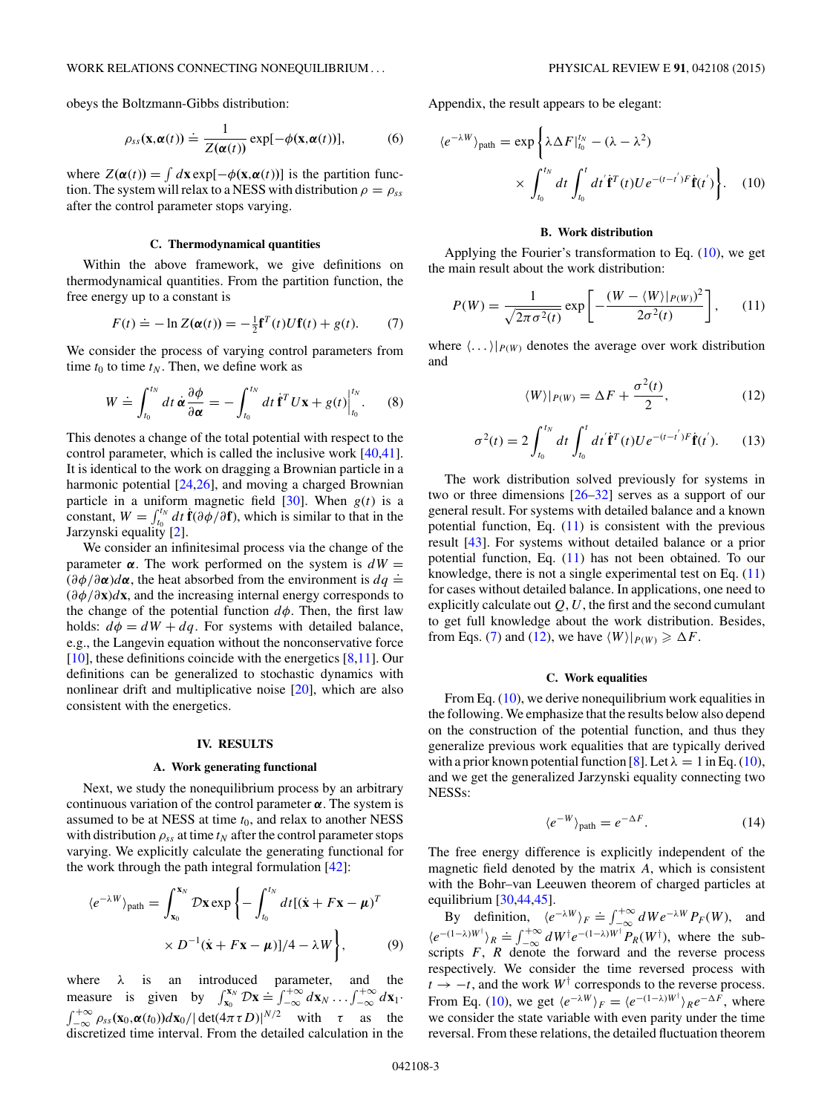<span id="page-2-0"></span>obeys the Boltzmann-Gibbs distribution:

$$
\rho_{ss}(\mathbf{x}, \boldsymbol{\alpha}(t)) \doteq \frac{1}{Z(\boldsymbol{\alpha}(t))} \exp[-\phi(\mathbf{x}, \boldsymbol{\alpha}(t))], \tag{6}
$$

where  $Z(\alpha(t)) = \int d\mathbf{x} \exp[-\phi(\mathbf{x}, \alpha(t))]$  is the partition function. The system will relax to a NESS with distribution  $\rho = \rho_{ss}$ after the control parameter stops varying.

#### **C. Thermodynamical quantities**

Within the above framework, we give definitions on thermodynamical quantities. From the partition function, the free energy up to a constant is

$$
F(t) \doteq -\ln Z(\boldsymbol{\alpha}(t)) = -\frac{1}{2}\mathbf{f}^T(t)U\mathbf{f}(t) + g(t). \tag{7}
$$

We consider the process of varying control parameters from time  $t_0$  to time  $t_N$ . Then, we define work as

$$
W \doteq \int_{t_0}^{t_N} dt \, \dot{\alpha} \frac{\partial \phi}{\partial \alpha} = - \int_{t_0}^{t_N} dt \, \dot{\mathbf{f}}^T U \mathbf{x} + g(t) \Big|_{t_0}^{t_N} . \tag{8}
$$

This denotes a change of the total potential with respect to the control parameter, which is called the inclusive work [\[40,41\]](#page-5-0). It is identical to the work on dragging a Brownian particle in a harmonic potential  $[24,26]$ , and moving a charged Brownian particle in a uniform magnetic field  $[30]$ . When  $g(t)$  is a constant,  $W = \int_{t_0}^{t_N} dt \, \dot{\mathbf{f}}(\partial \phi / \partial \mathbf{f})$ , which is similar to that in the Jarzynski equality [\[2\]](#page-5-0).

We consider an infinitesimal process via the change of the parameter  $\alpha$ . The work performed on the system is  $dW =$  $(\partial \phi / \partial \alpha) d\alpha$ , the heat absorbed from the environment is  $dq \doteq$ . (*∂φ/∂***x**)*d***x**, and the increasing internal energy corresponds to the change of the potential function  $d\phi$ . Then, the first law holds:  $d\phi = dW + dq$ . For systems with detailed balance, e.g., the Langevin equation without the nonconservative force [\[10\]](#page-5-0), these definitions coincide with the energetics [\[8,11\]](#page-5-0). Our definitions can be generalized to stochastic dynamics with nonlinear drift and multiplicative noise [\[20\]](#page-5-0), which are also consistent with the energetics.

#### **IV. RESULTS**

#### **A. Work generating functional**

Next, we study the nonequilibrium process by an arbitrary continuous variation of the control parameter *α*. The system is assumed to be at NESS at time  $t_0$ , and relax to another NESS with distribution  $\rho_{ss}$  at time  $t_N$  after the control parameter stops varying. We explicitly calculate the generating functional for the work through the path integral formulation  $[42]$ :

$$
\langle e^{-\lambda W} \rangle_{\text{path}} = \int_{\mathbf{x}_0}^{\mathbf{x}_N} \mathcal{D}\mathbf{x} \exp \left\{-\int_{t_0}^{t_N} dt [(\dot{\mathbf{x}} + F\mathbf{x} - \boldsymbol{\mu})^T \right. \\ \times D^{-1}(\dot{\mathbf{x}} + F\mathbf{x} - \boldsymbol{\mu})]/4 - \lambda W \right\}, \tag{9}
$$

where  $\lambda$  is an introduced parameter, and measure is given by  $\int_{\mathbf{x}_0}^{\mathbf{x}_N} \mathcal{D} \mathbf{x} \doteq \int_{-\infty}^{+\infty} d\mathbf{x}_N \dots \int_{-\infty}^{+\infty} d\mathbf{x}_1$ .  $\int_{-\infty}^{+\infty} \rho_{ss}(\mathbf{x}_0, \boldsymbol{\alpha}(t_0))d\mathbf{x}_0/|\det(4\pi \tau D)|^{N/2}$  with  $\tau$  as the discretized time interval. From the detailed calculation in the Appendix, the result appears to be elegant:

$$
\langle e^{-\lambda W} \rangle_{\text{path}} = \exp \left\{ \lambda \Delta F \Big|_{t_0}^{t_N} - (\lambda - \lambda^2) \right\}
$$

$$
\times \int_{t_0}^{t_N} dt \int_{t_0}^t dt' \dot{\mathbf{f}}^T(t) U e^{-(t-t')} F \dot{\mathbf{f}}(t') \right\}. \quad (10)
$$

#### **B. Work distribution**

Applying the Fourier's transformation to Eq.  $(10)$ , we get the main result about the work distribution:

$$
P(W) = \frac{1}{\sqrt{2\pi\sigma^2(t)}} \exp\left[-\frac{(W - \langle W \rangle|_{P(W)})^2}{2\sigma^2(t)}\right],\qquad(11)
$$

where  $\langle \dots \rangle |_{P(W)}$  denotes the average over work distribution and

$$
\langle W \rangle |_{P(W)} = \Delta F + \frac{\sigma^2(t)}{2},\tag{12}
$$

$$
\sigma^{2}(t) = 2 \int_{t_{0}}^{t_{N}} dt \int_{t_{0}}^{t} dt' \dot{\mathbf{f}}^{T}(t) U e^{-(t-t')F} \dot{\mathbf{f}}(t'). \qquad (13)
$$

The work distribution solved previously for systems in two or three dimensions [\[26–32\]](#page-5-0) serves as a support of our general result. For systems with detailed balance and a known potential function, Eq. (11) is consistent with the previous result [\[43\]](#page-5-0). For systems without detailed balance or a prior potential function, Eq. (11) has not been obtained. To our knowledge, there is not a single experimental test on Eq.  $(11)$ for cases without detailed balance. In applications, one need to explicitly calculate out  $Q, U$ , the first and the second cumulant to get full knowledge about the work distribution. Besides, from Eqs. (7) and (12), we have  $\langle W \rangle |_{P(W)} \ge \Delta F$ .

#### **C. Work equalities**

From Eq. (10), we derive nonequilibrium work equalities in the following. We emphasize that the results below also depend on the construction of the potential function, and thus they generalize previous work equalities that are typically derived with a prior known potential function [\[8\]](#page-5-0). Let  $\lambda = 1$  in Eq. (10), and we get the generalized Jarzynski equality connecting two NESSs:

$$
\langle e^{-W} \rangle_{\text{path}} = e^{-\Delta F}.
$$
 (14)

The free energy difference is explicitly independent of the magnetic field denoted by the matrix *A*, which is consistent with the Bohr–van Leeuwen theorem of charged particles at equilibrium [\[30,44,45\]](#page-5-0).

By definition,  $\langle e^{-\lambda W} \rangle_F \doteq \int_{-\infty}^{+\infty} dW e^{-\lambda W} P_F(W)$ , and  $\langle e^{-(1-\lambda)W^{\dagger}} \rangle_R = \int_{-\infty}^{+\infty} dW^{\dagger} e^{-(1-\lambda)W^{\dagger}} P_R(W^{\dagger}),$  where the subscripts *F*, *R* denote the forward and the reverse process respectively. We consider the time reversed process with  $t \rightarrow -t$ , and the work  $W^{\dagger}$  corresponds to the reverse process. From Eq. (10), we get  $\langle e^{-\lambda W} \rangle_F = \langle e^{-(1-\lambda)W^{\dagger}} \rangle_R e^{-\Delta F}$ , where we consider the state variable with even parity under the time reversal. From these relations, the detailed fluctuation theorem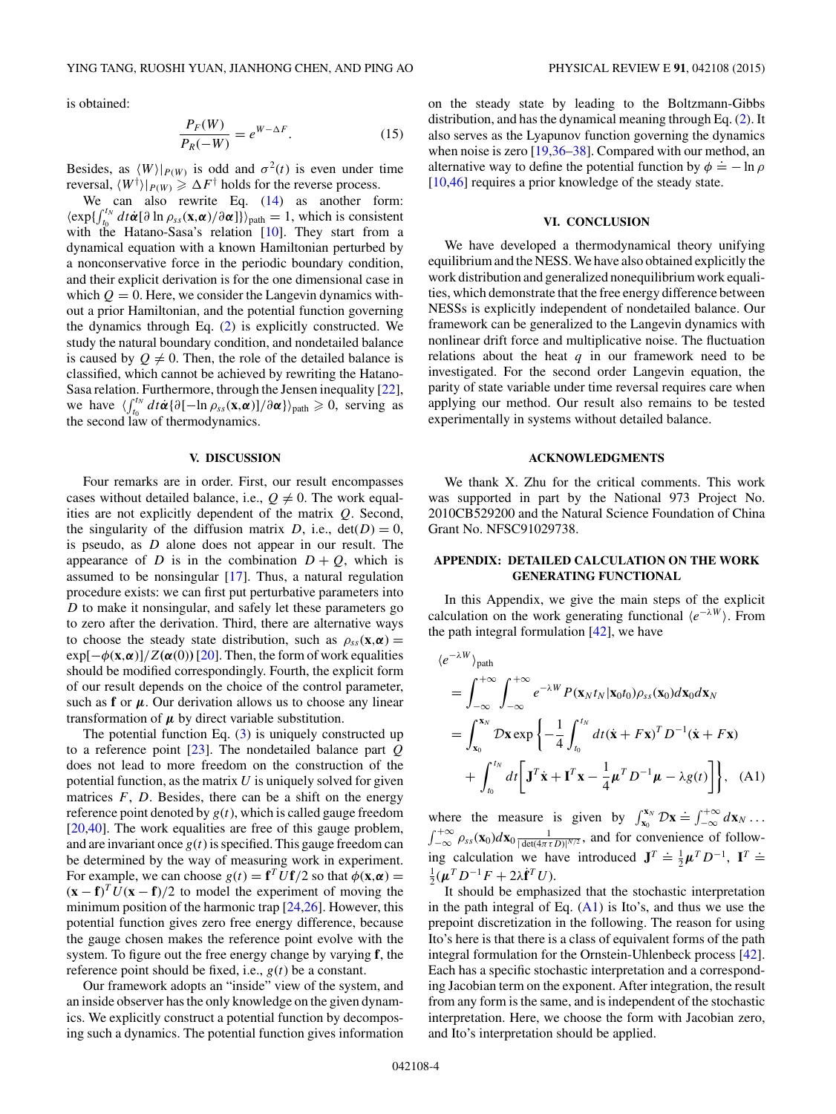<span id="page-3-0"></span>is obtained:

$$
\frac{P_F(W)}{P_R(-W)} = e^{W-\Delta F}.
$$
 (15)

Besides, as  $\langle W \rangle |_{P(W)}$  is odd and  $\sigma^2(t)$  is even under time reversal,  $\langle W^{\dagger} \rangle |_{P(W)} \geq \Delta F^{\dagger}$  holds for the reverse process.

We can also rewrite Eq.  $(14)$  as another form:  $\langle \exp\{ \int_{t_0}^{t_N} dt \tilde{\alpha} [\partial \ln \rho_{ss}(\mathbf{x}, \alpha)/\partial \alpha] \} \rangle_{\text{path}} = 1$ , which is consistent with the Hatano-Sasa's relation [\[10\]](#page-5-0). They start from a dynamical equation with a known Hamiltonian perturbed by a nonconservative force in the periodic boundary condition, and their explicit derivation is for the one dimensional case in which  $Q = 0$ . Here, we consider the Langevin dynamics without a prior Hamiltonian, and the potential function governing the dynamics through Eq. [\(2\)](#page-1-0) is explicitly constructed. We study the natural boundary condition, and nondetailed balance is caused by  $Q \neq 0$ . Then, the role of the detailed balance is classified, which cannot be achieved by rewriting the Hatano-Sasa relation. Furthermore, through the Jensen inequality [\[22\]](#page-5-0), we have  $\langle \int_{t_0}^{t_N} dt \alpha \{ \partial [-\ln \rho_{ss}(\mathbf{x}, \alpha)] / \partial \alpha \} \rangle_{\text{path}} \ge 0$ , serving as the second law of thermodynamics.

### **V. DISCUSSION**

Four remarks are in order. First, our result encompasses cases without detailed balance, i.e.,  $Q \neq 0$ . The work equalities are not explicitly dependent of the matrix *Q*. Second, the singularity of the diffusion matrix *D*, i.e.,  $det(D) = 0$ , is pseudo, as *D* alone does not appear in our result. The appearance of *D* is in the combination  $D + Q$ , which is assumed to be nonsingular [\[17\]](#page-5-0). Thus, a natural regulation procedure exists: we can first put perturbative parameters into *D* to make it nonsingular, and safely let these parameters go to zero after the derivation. Third, there are alternative ways to choose the steady state distribution, such as  $\rho_{ss}(\mathbf{x}, \alpha) =$  $\exp[-\phi(\mathbf{x}, \alpha)]/Z(\alpha(0))$  [\[20\]](#page-5-0). Then, the form of work equalities should be modified correspondingly. Fourth, the explicit form of our result depends on the choice of the control parameter, such as  $f$  or  $\mu$ . Our derivation allows us to choose any linear transformation of  $\mu$  by direct variable substitution.

The potential function Eq.  $(3)$  is uniquely constructed up to a reference point [\[23\]](#page-5-0). The nondetailed balance part *Q* does not lead to more freedom on the construction of the potential function, as the matrix *U* is uniquely solved for given matrices *F*, *D*. Besides, there can be a shift on the energy reference point denoted by  $g(t)$ , which is called gauge freedom [\[20,40\]](#page-5-0). The work equalities are free of this gauge problem, and are invariant once  $g(t)$  is specified. This gauge freedom can be determined by the way of measuring work in experiment. For example, we can choose  $g(t) = \mathbf{f}^T U \mathbf{f}/2$  so that  $\phi(\mathbf{x}, \alpha) =$  $(\mathbf{x} - \mathbf{f})^T U(\mathbf{x} - \mathbf{f})/2$  to model the experiment of moving the minimum position of the harmonic trap [\[24,26\]](#page-5-0). However, this potential function gives zero free energy difference, because the gauge chosen makes the reference point evolve with the system. To figure out the free energy change by varying **f**, the reference point should be fixed, i.e., *g*(*t*) be a constant.

Our framework adopts an "inside" view of the system, and an inside observer has the only knowledge on the given dynamics. We explicitly construct a potential function by decomposing such a dynamics. The potential function gives information on the steady state by leading to the Boltzmann-Gibbs distribution, and has the dynamical meaning through Eq. [\(2\)](#page-1-0). It also serves as the Lyapunov function governing the dynamics when noise is zero  $[19,36-38]$ . Compared with our method, an alternative way to define the potential function by  $\phi = -\ln \rho$ [\[10,46\]](#page-5-0) requires a prior knowledge of the steady state.

### **VI. CONCLUSION**

We have developed a thermodynamical theory unifying equilibrium and the NESS.We have also obtained explicitly the work distribution and generalized nonequilibrium work equalities, which demonstrate that the free energy difference between NESSs is explicitly independent of nondetailed balance. Our framework can be generalized to the Langevin dynamics with nonlinear drift force and multiplicative noise. The fluctuation relations about the heat *q* in our framework need to be investigated. For the second order Langevin equation, the parity of state variable under time reversal requires care when applying our method. Our result also remains to be tested experimentally in systems without detailed balance.

## **ACKNOWLEDGMENTS**

We thank X. Zhu for the critical comments. This work was supported in part by the National 973 Project No. 2010CB529200 and the Natural Science Foundation of China Grant No. NFSC91029738.

## **APPENDIX: DETAILED CALCULATION ON THE WORK GENERATING FUNCTIONAL**

In this Appendix, we give the main steps of the explicit calculation on the work generating functional  $\langle e^{-\lambda W} \rangle$ . From the path integral formulation  $[42]$ , we have

$$
\langle e^{-\lambda W} \rangle_{\text{path}}
$$
\n
$$
= \int_{-\infty}^{+\infty} \int_{-\infty}^{+\infty} e^{-\lambda W} P(\mathbf{x}_N t_N | \mathbf{x}_0 t_0) \rho_{ss}(\mathbf{x}_0) d\mathbf{x}_0 d\mathbf{x}_N
$$
\n
$$
= \int_{\mathbf{x}_0}^{\mathbf{x}_N} \mathcal{D} \mathbf{x} \exp \left\{ -\frac{1}{4} \int_{t_0}^{t_N} dt (\dot{\mathbf{x}} + F \mathbf{x})^T D^{-1} (\dot{\mathbf{x}} + F \mathbf{x}) + \int_{t_0}^{t_N} dt \left[ \mathbf{J}^T \dot{\mathbf{x}} + \mathbf{I}^T \mathbf{x} - \frac{1}{4} \boldsymbol{\mu}^T D^{-1} \boldsymbol{\mu} - \lambda g(t) \right] \right\}, \quad (A1)
$$

where the measure is given by  $\int_{\mathbf{x}_0}^{\mathbf{x}_N} \mathcal{D}\mathbf{x} \doteq \int_{-\infty}^{+\infty} d\mathbf{x}_N$ ...  $\int_{-\infty}^{+\infty} \rho_{ss}(\mathbf{x}_0) d\mathbf{x}_0 \frac{1}{|\det((4\pi \tau D)|^{N/2})}$ , and for convenience of following calculation we have introduced  $J^T = \frac{1}{2}\mu^T D^{-1}$ ,  $I^T =$  $\frac{1}{2}(\mu^T D^{-1}F + 2\lambda \dot{\mathbf{f}}^T U).$ 

It should be emphasized that the stochastic interpretation in the path integral of Eq.  $(A1)$  is Ito's, and thus we use the prepoint discretization in the following. The reason for using Ito's here is that there is a class of equivalent forms of the path integral formulation for the Ornstein-Uhlenbeck process [\[42\]](#page-5-0). Each has a specific stochastic interpretation and a corresponding Jacobian term on the exponent. After integration, the result from any form is the same, and is independent of the stochastic interpretation. Here, we choose the form with Jacobian zero, and Ito's interpretation should be applied.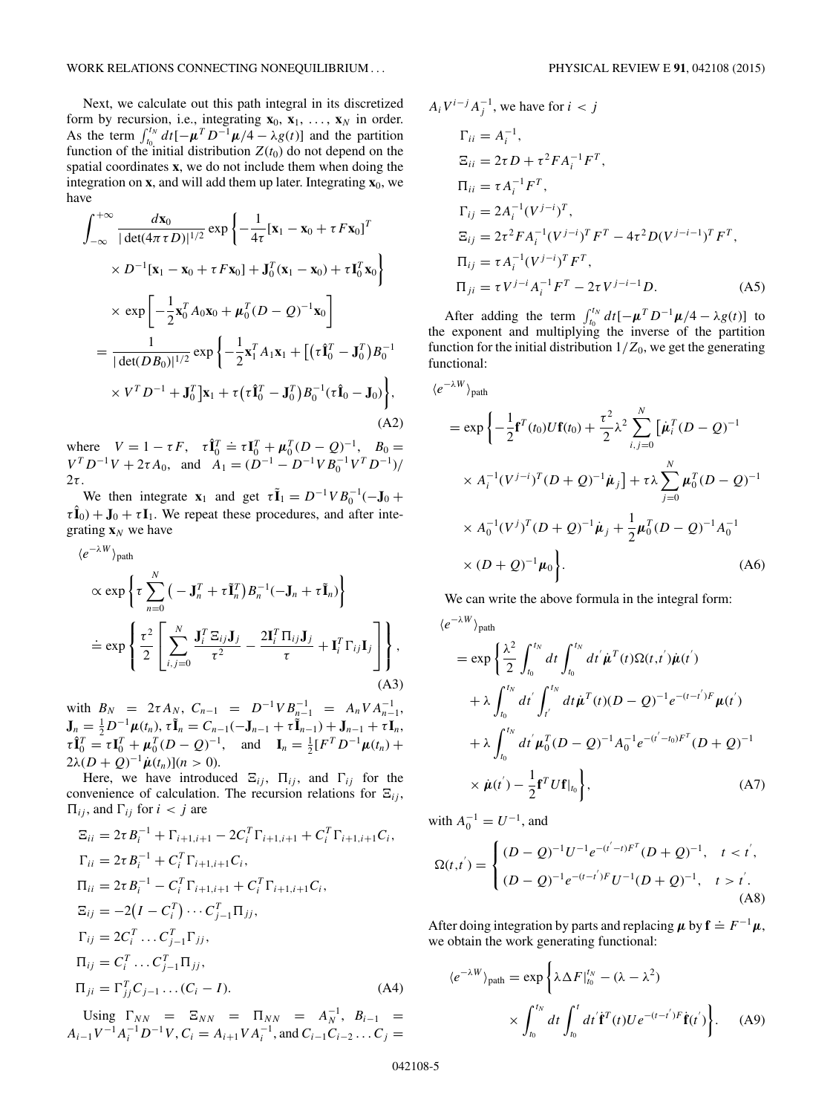Next, we calculate out this path integral in its discretized form by recursion, i.e., integrating  $\mathbf{x}_0, \mathbf{x}_1, \ldots, \mathbf{x}_N$  in order. As the term  $\int_{t_0}^{t_N} dt \left[ -\mu^T D^{-1} \mu / 4 - \lambda g(t) \right]$  and the partition function of the initial distribution  $Z(t_0)$  do not depend on the spatial coordinates **x**, we do not include them when doing the integration on  $\mathbf{x}$ , and will add them up later. Integrating  $\mathbf{x}_0$ , we have

$$
\int_{-\infty}^{+\infty} \frac{d\mathbf{x}_0}{|\det(4\pi \tau D)|^{1/2}} \exp\left\{-\frac{1}{4\tau}[\mathbf{x}_1 - \mathbf{x}_0 + \tau F \mathbf{x}_0]^T\right.\times D^{-1}[\mathbf{x}_1 - \mathbf{x}_0 + \tau F \mathbf{x}_0] + \mathbf{J}_0^T(\mathbf{x}_1 - \mathbf{x}_0) + \tau \mathbf{I}_0^T \mathbf{x}_0\right\}\times \exp\left[-\frac{1}{2}\mathbf{x}_0^T A_0 \mathbf{x}_0 + \boldsymbol{\mu}_0^T (D - Q)^{-1} \mathbf{x}_0\right]= \frac{1}{|\det(DB_0)|^{1/2}} \exp\left\{-\frac{1}{2}\mathbf{x}_1^T A_1 \mathbf{x}_1 + [(\tau \hat{\mathbf{I}}_0^T - \mathbf{J}_0^T) B_0^{-1} \times V^T D^{-1} + \mathbf{J}_0^T \mathbf{x}_1 + \tau (\tau \hat{\mathbf{I}}_0^T - \mathbf{J}_0^T) B_0^{-1} (\tau \hat{\mathbf{I}}_0 - \mathbf{J}_0)\right\},
$$
(A2)

where  $V = 1 - \tau F$ ,  $\tau \hat{\mathbf{I}}_0^T \doteq \tau \mathbf{I}_0^T + \mu_0^T (D - Q)^{-1}$ ,  $B_0 =$  $V^T D^{-1} V + 2\tau A_0$ , and  $A_1 = (D^{-1} - D^{-1} V B_0^{-1} V^T D^{-1})/2$ 2*τ* .

We then integrate  $\mathbf{x}_1$  and get  $\tau \tilde{\mathbf{I}}_1 = D^{-1} V B_0^{-1} (-\mathbf{J}_0 +$  $\tau(\hat{\mathbf{I}}_0) + \mathbf{J}_0 + \tau \mathbf{I}_1$ . We repeat these procedures, and after integrating  $\mathbf{x}_N$  we have

$$
\langle e^{-\lambda W} \rangle_{\text{path}}
$$
\n
$$
\propto \exp \left\{ \tau \sum_{n=0}^{N} \left( -\mathbf{J}_{n}^{T} + \tau \tilde{\mathbf{I}}_{n}^{T} \right) B_{n}^{-1} (-\mathbf{J}_{n} + \tau \tilde{\mathbf{I}}_{n}) \right\}
$$
\n
$$
\doteq \exp \left\{ \frac{\tau^{2}}{2} \left[ \sum_{i,j=0}^{N} \frac{\mathbf{J}_{i}^{T} \Xi_{ij} \mathbf{J}_{j}}{\tau^{2}} - \frac{2 \mathbf{I}_{i}^{T} \Pi_{ij} \mathbf{J}_{j}}{\tau} + \mathbf{I}_{i}^{T} \Gamma_{ij} \mathbf{I}_{j} \right] \right\},
$$
\n(A3)

with  $B_N = 2\tau A_N$ ,  $C_{n-1} = D^{-1}VB_{n-1}^{-1} = A_n V A_{n-1}^{-1}$ ,  $J_n = \frac{1}{2} D^{-1} \mu(t_n), \tau \tilde{\mathbf{I}}_n = C_{n-1}(-\mathbf{J}_{n-1} + \tau \tilde{\mathbf{I}}_{n-1}) + \mathbf{J}_{n-1} + \tau \mathbf{I}_n,$  $\tau \hat{\mathbf{I}}_0^T = \tau \mathbf{I}_0^T + \mu_0^T (D - Q)^{-1}$ , and  $\mathbf{I}_n = \frac{1}{2} [F^T D^{-1} \mu(t_n) +$  $2\lambda(D+Q)^{-1}\dot{\mu}(t_n)](n>0).$ 

Here, we have introduced  $\Xi_{ij}$ ,  $\Pi_{ij}$ , and  $\Gamma_{ij}$  for the convenience of calculation. The recursion relations for  $\Xi_{ij}$ ,  $\Pi_{ij}$ , and  $\Gamma_{ij}$  for  $i < j$  are

$$
\mathbf{E}_{ii} = 2\tau B_i^{-1} + \Gamma_{i+1,i+1} - 2C_i^T \Gamma_{i+1,i+1} + C_i^T \Gamma_{i+1,i+1} C_i,
$$
  
\n
$$
\Gamma_{ii} = 2\tau B_i^{-1} + C_i^T \Gamma_{i+1,i+1} C_i,
$$
  
\n
$$
\Pi_{ii} = 2\tau B_i^{-1} - C_i^T \Gamma_{i+1,i+1} + C_i^T \Gamma_{i+1,i+1} C_i,
$$
  
\n
$$
\mathbf{E}_{ij} = -2(I - C_i^T) \cdots C_{j-1}^T \Pi_{jj},
$$
  
\n
$$
\Gamma_{ij} = 2C_i^T \cdots C_{j-1}^T \Gamma_{jj},
$$
  
\n
$$
\Pi_{ij} = C_i^T \cdots C_{j-1}^T \Pi_{jj},
$$
  
\n
$$
\Pi_{ji} = \Gamma_{jj}^T C_{j-1} \cdots (C_i - I).
$$
  
\n(A4)

Using  $\Gamma_{NN} = \Sigma_{NN} = \Pi_{NN} = A_N^{-1}, B_{i-1} =$  $A_{i-1}V^{-1}A_i^{-1}D^{-1}V$ ,  $C_i = A_{i+1}VA_i^{-1}$ , and  $C_{i-1}C_{i-2}...C_j =$ 

$$
A_i V^{i-j} A_j^{-1}
$$
, we have for  $i < j$ 

$$
\Gamma_{ii} = A_i^{-1},
$$
\n
$$
\Xi_{ii} = 2\tau D + \tau^2 F A_i^{-1} F^T,
$$
\n
$$
\Pi_{ii} = \tau A_i^{-1} F^T,
$$
\n
$$
\Gamma_{ij} = 2A_i^{-1} (V^{j-i})^T,
$$
\n
$$
\Xi_{ij} = 2\tau^2 F A_i^{-1} (V^{j-i})^T F^T - 4\tau^2 D (V^{j-i-1})^T F^T,
$$
\n
$$
\Pi_{ij} = \tau A_i^{-1} (V^{j-i})^T F^T,
$$
\n
$$
\Pi_{ji} = \tau V^{j-i} A_i^{-1} F^T - 2\tau V^{j-i-1} D.
$$
\n(A5)

After adding the term  $\int_{t_0}^{t_N} dt \left[ -\mu^T D^{-1} \mu /4 - \lambda g(t) \right]$  to the exponent and multiplying the inverse of the partition function for the initial distribution  $1/Z_0$ , we get the generating functional:

$$
\langle e^{-\lambda W} \rangle_{\text{path}}
$$
  
=  $\exp \left\{ -\frac{1}{2} \mathbf{f}^T(t_0) U \mathbf{f}(t_0) + \frac{\tau^2}{2} \lambda^2 \sum_{i,j=0}^N \left[ \dot{\boldsymbol{\mu}}_i^T (D - Q)^{-1} \right. \right.$   
 $\times A_i^{-1} (V^{j-i})^T (D + Q)^{-1} \dot{\boldsymbol{\mu}}_j \right\} + \tau \lambda \sum_{j=0}^N \boldsymbol{\mu}_0^T (D - Q)^{-1}$   
 $\times A_0^{-1} (V^j)^T (D + Q)^{-1} \dot{\boldsymbol{\mu}}_j + \frac{1}{2} \boldsymbol{\mu}_0^T (D - Q)^{-1} A_0^{-1}$   
 $\times (D + Q)^{-1} \boldsymbol{\mu}_0 \right\}.$  (A6)

We can write the above formula in the integral form:  $\langle e^{-\lambda W} \rangle$ <sub>path</sub>

$$
= \exp\left\{\frac{\lambda^2}{2}\int_{t_0}^{t_N} dt \int_{t_0}^{t_N} dt^{'} \dot{\mu}^T(t)\Omega(t,t^{'})\dot{\mu}(t^{'})\n+ \lambda \int_{t_0}^{t_N} dt^{'} \int_{t^{'}}^{t_N} dt \dot{\mu}^T(t)(D-Q)^{-1}e^{-(t-t^{'})F} \mu(t^{'})\n+ \lambda \int_{t_0}^{t_N} dt^{'} \mu_0^T(D-Q)^{-1}A_0^{-1}e^{-(t^{'}-t_0)F^T}(D+Q)^{-1}\n\times \dot{\mu}(t^{'}) - \frac{1}{2}f^TUf|_{t_0}\right\},
$$
\n(A7)

with  $A_0^{-1} = U^{-1}$ , and

$$
\Omega(t,t') = \begin{cases}\n(D-Q)^{-1}U^{-1}e^{-(t'-t)F^T}(D+Q)^{-1}, & t < t', \\
(D-Q)^{-1}e^{-(t-t')F}U^{-1}(D+Q)^{-1}, & t > t'.\n\end{cases} \tag{A8}
$$

After doing integration by parts and replacing  $\mu$  by  $\mathbf{f} \doteq F^{-1}\mu$ , we obtain the work generating functional:

$$
\langle e^{-\lambda W} \rangle_{\text{path}} = \exp \left\{ \lambda \Delta F \Big|_{t_0}^{t_N} - (\lambda - \lambda^2) \right\}
$$

$$
\times \int_{t_0}^{t_N} dt \int_{t_0}^t dt' \dot{\mathbf{f}}^T(t) U e^{-(t-t')} F \dot{\mathbf{f}}(t') \right\}.
$$
 (A9)